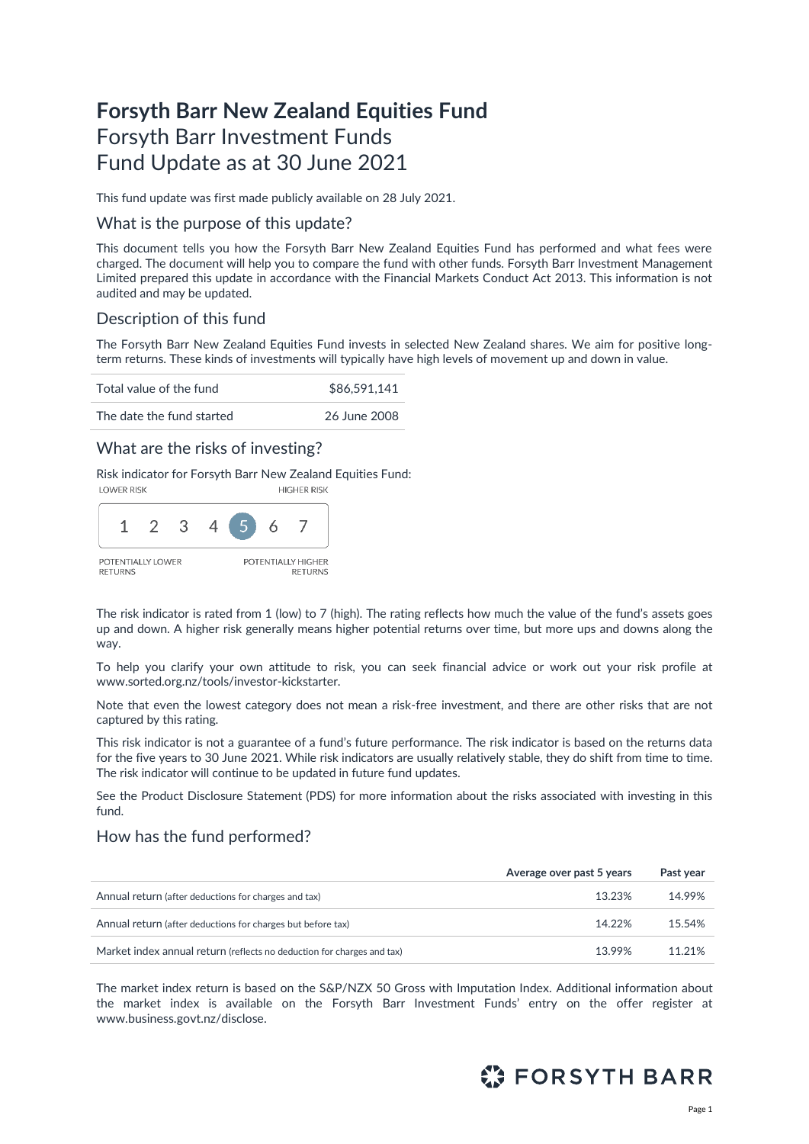# **Forsyth Barr New Zealand Equities Fund** Forsyth Barr Investment Funds Fund Update as at 30 June 2021

This fund update was first made publicly available on 28 July 2021.

### What is the purpose of this update?

This document tells you how the Forsyth Barr New Zealand Equities Fund has performed and what fees were charged. The document will help you to compare the fund with other funds. Forsyth Barr Investment Management Limited prepared this update in accordance with the Financial Markets Conduct Act 2013. This information is not audited and may be updated.

### Description of this fund

The Forsyth Barr New Zealand Equities Fund invests in selected New Zealand shares. We aim for positive longterm returns. These kinds of investments will typically have high levels of movement up and down in value.

| Total value of the fund   | \$86,591,141 |  |
|---------------------------|--------------|--|
| The date the fund started | 26 June 2008 |  |

### What are the risks of investing?

Risk indicator for Forsyth Barr New Zealand Equities Fund:



The risk indicator is rated from 1 (low) to 7 (high). The rating reflects how much the value of the fund's assets goes up and down. A higher risk generally means higher potential returns over time, but more ups and downs along the way.

To help you clarify your own attitude to risk, you can seek financial advice or work out your risk profile at [www.sorted.org.nz/tools/investor-kickstarter.](http://www.sorted.org.nz/tools/investor-kickstarter) 

Note that even the lowest category does not mean a risk-free investment, and there are other risks that are not captured by this rating.

This risk indicator is not a guarantee of a fund's future performance. The risk indicator is based on the returns data for the five years to 30 June 2021. While risk indicators are usually relatively stable, they do shift from time to time. The risk indicator will continue to be updated in future fund updates.

See the Product Disclosure Statement (PDS) for more information about the risks associated with investing in this fund.

### How has the fund performed?

|                                                                        | Average over past 5 years | Past year |
|------------------------------------------------------------------------|---------------------------|-----------|
| Annual return (after deductions for charges and tax)                   | 13.23%                    | 14.99%    |
| Annual return (after deductions for charges but before tax)            | 14.22%                    | 15.54%    |
| Market index annual return (reflects no deduction for charges and tax) | 13.99%                    | 11.21%    |

The market index return is based on the S&P/NZX 50 Gross with Imputation Index. Additional information about the market index is available on the Forsyth Barr Investment Funds' entry on the offer register at [www.business.govt.nz/disclose.](http://www.business.govt.nz/disclose)

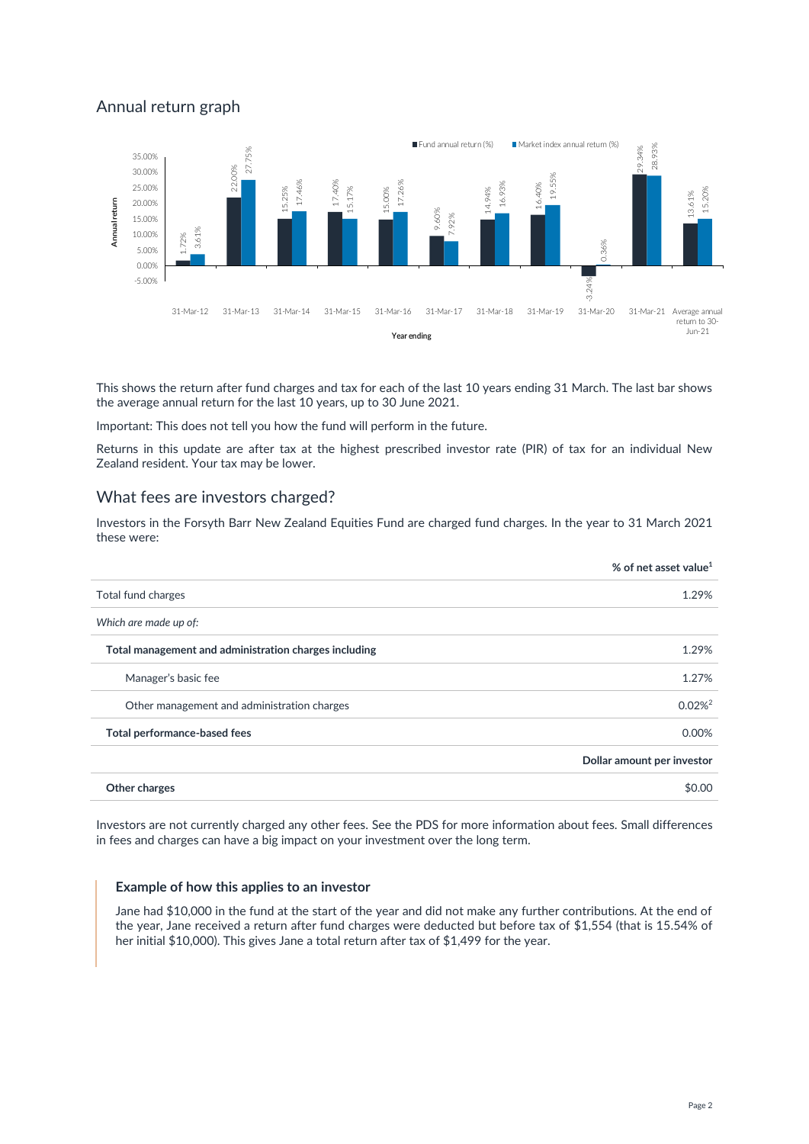# Annual return graph



This shows the return after fund charges and tax for each of the last 10 years ending 31 March. The last bar shows the average annual return for the last 10 years, up to 30 June 2021.

Important: This does not tell you how the fund will perform in the future.

Returns in this update are after tax at the highest prescribed investor rate (PIR) of tax for an individual New Zealand resident. Your tax may be lower.

### What fees are investors charged?

Investors in the Forsyth Barr New Zealand Equities Fund are charged fund charges. In the year to 31 March 2021 these were:

|                                                       | % of net asset value <sup>1</sup> |
|-------------------------------------------------------|-----------------------------------|
| Total fund charges                                    | 1.29%                             |
| Which are made up of:                                 |                                   |
| Total management and administration charges including | 1.29%                             |
| Manager's basic fee                                   | 1.27%                             |
| Other management and administration charges           | $0.02\%$ <sup>2</sup>             |
| Total performance-based fees                          | 0.00%                             |
|                                                       | Dollar amount per investor        |
| Other charges                                         | \$0.00                            |

Investors are not currently charged any other fees. See the PDS for more information about fees. Small differences in fees and charges can have a big impact on your investment over the long term.

#### **Example of how this applies to an investor**

Jane had \$10,000 in the fund at the start of the year and did not make any further contributions. At the end of the year, Jane received a return after fund charges were deducted but before tax of \$1,554 (that is 15.54% of her initial \$10,000). This gives Jane a total return after tax of \$1,499 for the year.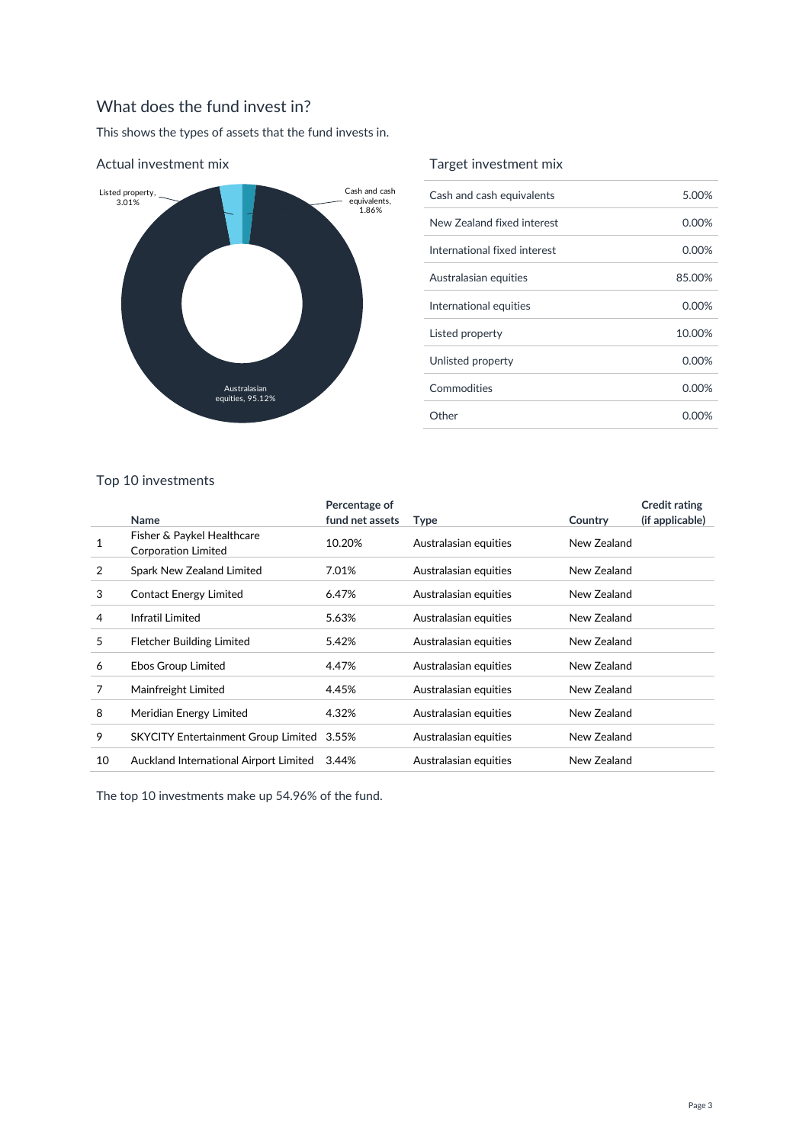# What does the fund invest in?

This shows the types of assets that the fund invests in.



#### Actual investment mix

### Target investment mix

| Cash and cash equivalents    | 5.00%    |
|------------------------------|----------|
| New Zealand fixed interest   | $0.00\%$ |
| International fixed interest | $0.00\%$ |
| Australasian equities        | 85.00%   |
| International equities       | $0.00\%$ |
| Listed property              | 10.00%   |
| Unlisted property            | $0.00\%$ |
| Commodities                  | 0.00%    |
| Other                        | 0.00%    |

### Top 10 investments

|    | Name                                                     | Percentage of<br>fund net assets | <b>Type</b>           | Country     | <b>Credit rating</b><br>(if applicable) |
|----|----------------------------------------------------------|----------------------------------|-----------------------|-------------|-----------------------------------------|
|    | Fisher & Paykel Healthcare<br><b>Corporation Limited</b> | 10.20%                           | Australasian equities | New Zealand |                                         |
| 2  | Spark New Zealand Limited                                | 7.01%                            | Australasian equities | New Zealand |                                         |
| 3  | Contact Energy Limited                                   | 6.47%                            | Australasian equities | New Zealand |                                         |
| 4  | Infratil Limited                                         | 5.63%                            | Australasian equities | New Zealand |                                         |
| 5  | Fletcher Building Limited                                | 5.42%                            | Australasian equities | New Zealand |                                         |
| 6  | Ebos Group Limited                                       | 4.47%                            | Australasian equities | New Zealand |                                         |
| 7  | Mainfreight Limited                                      | 4.45%                            | Australasian equities | New Zealand |                                         |
| 8  | Meridian Energy Limited                                  | 4.32%                            | Australasian equities | New Zealand |                                         |
| 9  | SKYCITY Entertainment Group Limited 3.55%                |                                  | Australasian equities | New Zealand |                                         |
| 10 | Auckland International Airport Limited                   | 3.44%                            | Australasian equities | New Zealand |                                         |

The top 10 investments make up 54.96% of the fund.